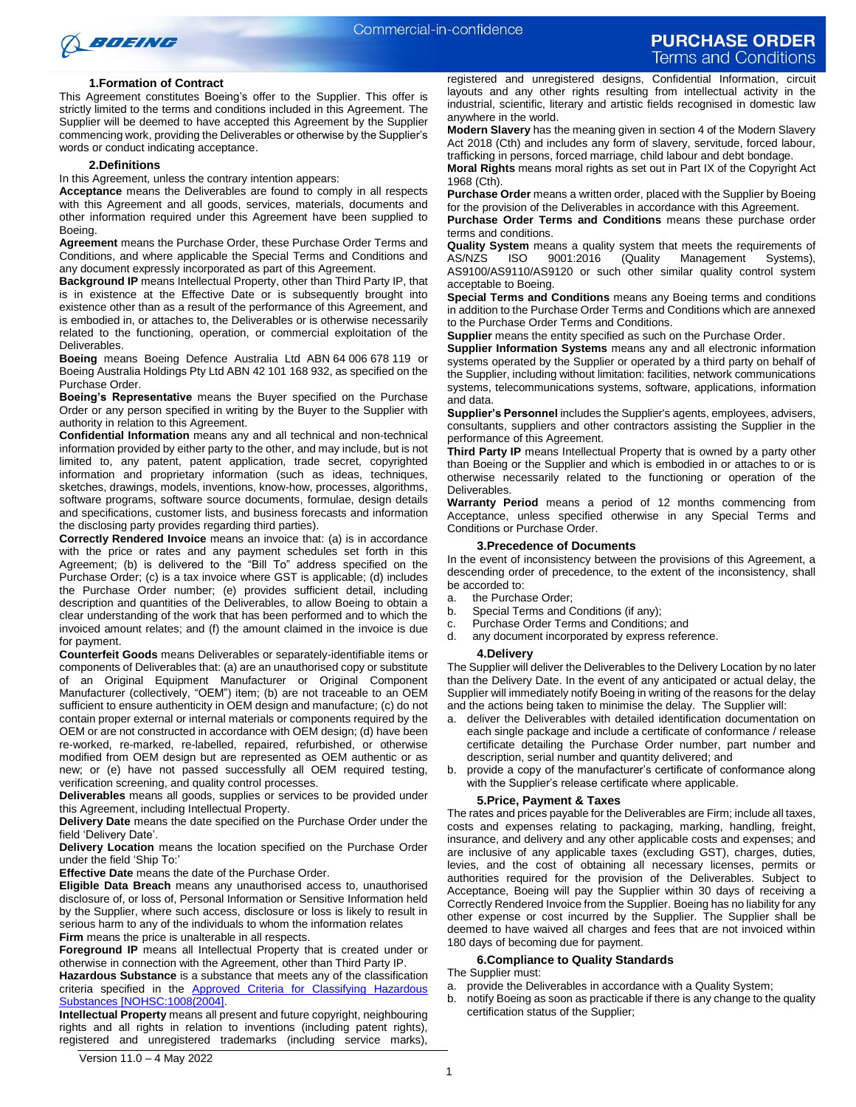

### **1.Formation of Contract**

This Agreement constitutes Boeing's offer to the Supplier. This offer is strictly limited to the terms and conditions included in this Agreement. The Supplier will be deemed to have accepted this Agreement by the Supplier commencing work, providing the Deliverables or otherwise by the Supplier's words or conduct indicating acceptance.

#### **2.Definitions**

In this Agreement, unless the contrary intention appears:

**Acceptance** means the Deliverables are found to comply in all respects with this Agreement and all goods, services, materials, documents and other information required under this Agreement have been supplied to Boeing.

**Agreement** means the Purchase Order, these Purchase Order Terms and Conditions, and where applicable the Special Terms and Conditions and any document expressly incorporated as part of this Agreement.

**Background IP** means Intellectual Property, other than Third Party IP, that is in existence at the Effective Date or is subsequently brought into existence other than as a result of the performance of this Agreement, and is embodied in, or attaches to, the Deliverables or is otherwise necessarily related to the functioning, operation, or commercial exploitation of the **Deliverables** 

**Boeing** means Boeing Defence Australia Ltd ABN 64 006 678 119 or Boeing Australia Holdings Pty Ltd ABN 42 101 168 932, as specified on the Purchase Order.

**Boeing's Representative** means the Buyer specified on the Purchase Order or any person specified in writing by the Buyer to the Supplier with authority in relation to this Agreement.

**Confidential Information** means any and all technical and non-technical information provided by either party to the other, and may include, but is not limited to, any patent, patent application, trade secret, copyrighted information and proprietary information (such as ideas, techniques, sketches, drawings, models, inventions, know-how, processes, algorithms, software programs, software source documents, formulae, design details and specifications, customer lists, and business forecasts and information the disclosing party provides regarding third parties).

**Correctly Rendered Invoice** means an invoice that: (a) is in accordance with the price or rates and any payment schedules set forth in this Agreement; (b) is delivered to the "Bill To" address specified on the Purchase Order; (c) is a tax invoice where GST is applicable; (d) includes the Purchase Order number; (e) provides sufficient detail, including description and quantities of the Deliverables, to allow Boeing to obtain a clear understanding of the work that has been performed and to which the invoiced amount relates; and (f) the amount claimed in the invoice is due for payment.

**Counterfeit Goods** means Deliverables or separately-identifiable items or components of Deliverables that: (a) are an unauthorised copy or substitute of an Original Equipment Manufacturer or Original Component Manufacturer (collectively, "OEM") item; (b) are not traceable to an OEM sufficient to ensure authenticity in OEM design and manufacture; (c) do not contain proper external or internal materials or components required by the OEM or are not constructed in accordance with OEM design; (d) have been re-worked, re-marked, re-labelled, repaired, refurbished, or otherwise modified from OEM design but are represented as OEM authentic or as new; or (e) have not passed successfully all OEM required testing, verification screening, and quality control processes.

**Deliverables** means all goods, supplies or services to be provided under this Agreement, including Intellectual Property.

**Delivery Date** means the date specified on the Purchase Order under the field 'Delivery Date'.

**Delivery Location** means the location specified on the Purchase Order under the field 'Ship To:'

**Effective Date** means the date of the Purchase Order.

**Eligible Data Breach** means any unauthorised access to, unauthorised disclosure of, or loss of, Personal Information or Sensitive Information held by the Supplier, where such access, disclosure or loss is likely to result in serious harm to any of the individuals to whom the information relates **Firm** means the price is unalterable in all respects.

**Foreground IP** means all Intellectual Property that is created under or otherwise in connection with the Agreement, other than Third Party IP.

**Hazardous Substance** is a substance that meets any of the classification criteria specified in the [Approved Criteria for Classifying Hazardous](https://www.safeworkaustralia.gov.au/system/files/documents/1702/approvedcriteria_classifying_hazardous_substances_nohsc1008-2004_pdf.pdf)  [Substances \[NOHSC:1008\(2004\].](https://www.safeworkaustralia.gov.au/system/files/documents/1702/approvedcriteria_classifying_hazardous_substances_nohsc1008-2004_pdf.pdf)

**Intellectual Property** means all present and future copyright, neighbouring rights and all rights in relation to inventions (including patent rights), registered and unregistered trademarks (including service marks),

registered and unregistered designs, Confidential Information, circuit layouts and any other rights resulting from intellectual activity in the industrial, scientific, literary and artistic fields recognised in domestic law anywhere in the world.

**Modern Slavery** has the meaning given in section 4 of the Modern Slavery Act 2018 (Cth) and includes any form of slavery, servitude, forced labour, trafficking in persons, forced marriage, child labour and debt bondage.

**Moral Rights** means moral rights as set out in Part IX of the Copyright Act 1968 (Cth).

**Purchase Order** means a written order, placed with the Supplier by Boeing for the provision of the Deliverables in accordance with this Agreement.

**Purchase Order Terms and Conditions** means these purchase order terms and conditions.

**Quality System** means a quality system that meets the requirements of AS/NZS ISO 9001:2016 (Quality Management Systems), Management Systems), AS9100/AS9110/AS9120 or such other similar quality control system acceptable to Boeing.

**Special Terms and Conditions** means any Boeing terms and conditions in addition to the Purchase Order Terms and Conditions which are annexed to the Purchase Order Terms and Conditions.

**Supplier** means the entity specified as such on the Purchase Order.

**Supplier Information Systems** means any and all electronic information systems operated by the Supplier or operated by a third party on behalf of the Supplier, including without limitation: facilities, network communications systems, telecommunications systems, software, applications, information and data.

**Supplier's Personnel** includes the Supplier's agents, employees, advisers, consultants, suppliers and other contractors assisting the Supplier in the performance of this Agreement.

**Third Party IP** means Intellectual Property that is owned by a party other than Boeing or the Supplier and which is embodied in or attaches to or is otherwise necessarily related to the functioning or operation of the Deliverables.

**Warranty Period** means a period of 12 months commencing from Acceptance, unless specified otherwise in any Special Terms and Conditions or Purchase Order.

#### **3.Precedence of Documents**

In the event of inconsistency between the provisions of this Agreement, a descending order of precedence, to the extent of the inconsistency, shall be accorded to:

- a. the Purchase Order;
- b. Special Terms and Conditions (if any);
- c. Purchase Order Terms and Conditions; and
- d. any document incorporated by express reference.

#### **4.Delivery**

The Supplier will deliver the Deliverables to the Delivery Location by no later than the Delivery Date. In the event of any anticipated or actual delay, the Supplier will immediately notify Boeing in writing of the reasons for the delay and the actions being taken to minimise the delay. The Supplier will:

- deliver the Deliverables with detailed identification documentation on each single package and include a certificate of conformance / release certificate detailing the Purchase Order number, part number and description, serial number and quantity delivered; and
- b. provide a copy of the manufacturer's certificate of conformance along with the Supplier's release certificate where applicable.

### **5.Price, Payment & Taxes**

The rates and prices payable for the Deliverables are Firm; include all taxes, costs and expenses relating to packaging, marking, handling, freight, insurance, and delivery and any other applicable costs and expenses; and are inclusive of any applicable taxes (excluding GST), charges, duties, levies, and the cost of obtaining all necessary licenses, permits or authorities required for the provision of the Deliverables. Subject to Acceptance, Boeing will pay the Supplier within 30 days of receiving a Correctly Rendered Invoice from the Supplier. Boeing has no liability for any other expense or cost incurred by the Supplier. The Supplier shall be deemed to have waived all charges and fees that are not invoiced within 180 days of becoming due for payment.

### **6.Compliance to Quality Standards**

The Supplier must:

- a. provide the Deliverables in accordance with a Quality System;
- b. notify Boeing as soon as practicable if there is any change to the quality certification status of the Supplier;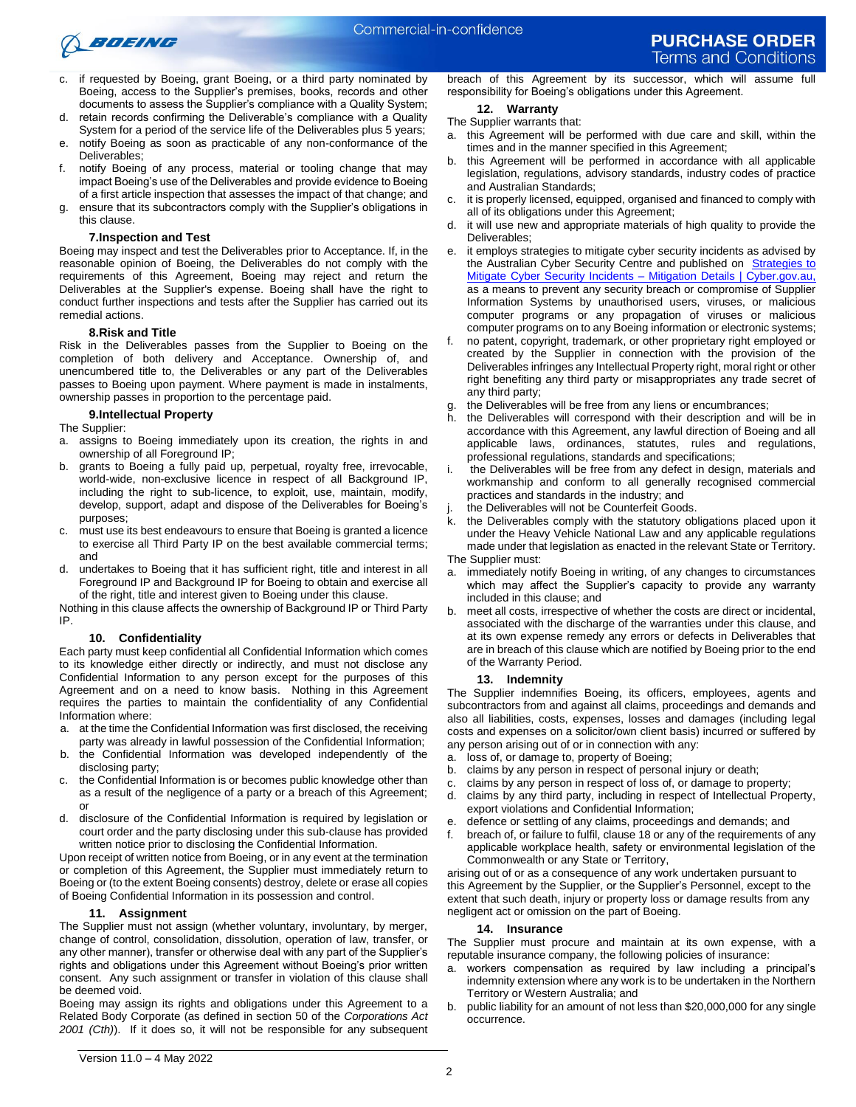

- c. if requested by Boeing, grant Boeing, or a third party nominated by Boeing, access to the Supplier's premises, books, records and other documents to assess the Supplier's compliance with a Quality System;
- d. retain records confirming the Deliverable's compliance with a Quality System for a period of the service life of the Deliverables plus 5 years;
- e. notify Boeing as soon as practicable of any non-conformance of the Deliverables;
- f. notify Boeing of any process, material or tooling change that may impact Boeing's use of the Deliverables and provide evidence to Boeing of a first article inspection that assesses the impact of that change; and
- g. ensure that its subcontractors comply with the Supplier's obligations in this clause.

### **7.Inspection and Test**

Boeing may inspect and test the Deliverables prior to Acceptance. If, in the reasonable opinion of Boeing, the Deliverables do not comply with the requirements of this Agreement, Boeing may reject and return the Deliverables at the Supplier's expense. Boeing shall have the right to conduct further inspections and tests after the Supplier has carried out its remedial actions.

### **8.Risk and Title**

Risk in the Deliverables passes from the Supplier to Boeing on the completion of both delivery and Acceptance. Ownership of, and unencumbered title to, the Deliverables or any part of the Deliverables passes to Boeing upon payment. Where payment is made in instalments, ownership passes in proportion to the percentage paid.

### **9.Intellectual Property**

The Supplier:

- a. assigns to Boeing immediately upon its creation, the rights in and ownership of all Foreground IP;
- b. grants to Boeing a fully paid up, perpetual, royalty free, irrevocable, world-wide, non-exclusive licence in respect of all Background IP, including the right to sub-licence, to exploit, use, maintain, modify, develop, support, adapt and dispose of the Deliverables for Boeing's purposes;
- c. must use its best endeavours to ensure that Boeing is granted a licence to exercise all Third Party IP on the best available commercial terms; and
- d. undertakes to Boeing that it has sufficient right, title and interest in all Foreground IP and Background IP for Boeing to obtain and exercise all of the right, title and interest given to Boeing under this clause.

Nothing in this clause affects the ownership of Background IP or Third Party IP.

### **10. Confidentiality**

Each party must keep confidential all Confidential Information which comes to its knowledge either directly or indirectly, and must not disclose any Confidential Information to any person except for the purposes of this Agreement and on a need to know basis. Nothing in this Agreement requires the parties to maintain the confidentiality of any Confidential Information where:

- a. at the time the Confidential Information was first disclosed, the receiving party was already in lawful possession of the Confidential Information;
- b. the Confidential Information was developed independently of the disclosing party;
- c. the Confidential Information is or becomes public knowledge other than as a result of the negligence of a party or a breach of this Agreement; or
- d. disclosure of the Confidential Information is required by legislation or court order and the party disclosing under this sub-clause has provided written notice prior to disclosing the Confidential Information.

Upon receipt of written notice from Boeing, or in any event at the termination or completion of this Agreement, the Supplier must immediately return to Boeing or (to the extent Boeing consents) destroy, delete or erase all copies of Boeing Confidential Information in its possession and control.

### **11. Assignment**

The Supplier must not assign (whether voluntary, involuntary, by merger, change of control, consolidation, dissolution, operation of law, transfer, or any other manner), transfer or otherwise deal with any part of the Supplier's rights and obligations under this Agreement without Boeing's prior written consent. Any such assignment or transfer in violation of this clause shall be deemed void.

Boeing may assign its rights and obligations under this Agreement to a Related Body Corporate (as defined in section 50 of the *Corporations Act 2001 (Cth)*). If it does so, it will not be responsible for any subsequent breach of this Agreement by its successor, which will assume full responsibility for Boeing's obligations under this Agreement.

# **12. Warranty**

# The Supplier warrants that:

- a. this Agreement will be performed with due care and skill, within the times and in the manner specified in this Agreement;
- b. this Agreement will be performed in accordance with all applicable legislation, regulations, advisory standards, industry codes of practice and Australian Standards;
- c. it is properly licensed, equipped, organised and financed to comply with all of its obligations under this Agreement;
- it will use new and appropriate materials of high quality to provide the Deliverables;
- e. it employs strategies to mitigate cyber security incidents as advised by the Australian Cyber Security Centre and published on **Strategies to** [Mitigate Cyber Security Incidents –](https://www.cyber.gov.au/acsc/view-all-content/publications/strategies-mitigate-cyber-security-incidents-mitigation-details) Mitigation Details | Cyber.gov.au, as a means to prevent any security breach or compromise of Supplier Information Systems by unauthorised users, viruses, or malicious computer programs or any propagation of viruses or malicious computer programs on to any Boeing information or electronic systems;
- f. no patent, copyright, trademark, or other proprietary right employed or created by the Supplier in connection with the provision of the Deliverables infringes any Intellectual Property right, moral right or other right benefiting any third party or misappropriates any trade secret of any third party;
- the Deliverables will be free from any liens or encumbrances;
- h. the Deliverables will correspond with their description and will be in accordance with this Agreement, any lawful direction of Boeing and all applicable laws, ordinances, statutes, rules and regulations, professional regulations, standards and specifications;
- i. the Deliverables will be free from any defect in design, materials and workmanship and conform to all generally recognised commercial practices and standards in the industry; and
- the Deliverables will not be Counterfeit Goods.
- k. the Deliverables comply with the statutory obligations placed upon it under the Heavy Vehicle National Law and any applicable regulations made under that legislation as enacted in the relevant State or Territory. The Supplier must:
- a. immediately notify Boeing in writing, of any changes to circumstances which may affect the Supplier's capacity to provide any warranty included in this clause; and
- b. meet all costs, irrespective of whether the costs are direct or incidental, associated with the discharge of the warranties under this clause, and at its own expense remedy any errors or defects in Deliverables that are in breach of this clause which are notified by Boeing prior to the end of the Warranty Period.

#### **13. Indemnity**

The Supplier indemnifies Boeing, its officers, employees, agents and subcontractors from and against all claims, proceedings and demands and also all liabilities, costs, expenses, losses and damages (including legal costs and expenses on a solicitor/own client basis) incurred or suffered by any person arising out of or in connection with any:

- a. loss of, or damage to, property of Boeing;
- b. claims by any person in respect of personal injury or death;
- c. claims by any person in respect of loss of, or damage to property;
- d. claims by any third party, including in respect of Intellectual Property, export violations and Confidential Information;
- e. defence or settling of any claims, proceedings and demands; and
- f. breach of, or failure to fulfil, clause 18 or any of the requirements of any applicable workplace health, safety or environmental legislation of the Commonwealth or any State or Territory,

arising out of or as a consequence of any work undertaken pursuant to this Agreement by the Supplier, or the Supplier's Personnel, except to the extent that such death, injury or property loss or damage results from any negligent act or omission on the part of Boeing.

#### **14. Insurance**

The Supplier must procure and maintain at its own expense, with a reputable insurance company, the following policies of insurance:

- a. workers compensation as required by law including a principal's indemnity extension where any work is to be undertaken in the Northern Territory or Western Australia; and
- b. public liability for an amount of not less than \$20,000,000 for any single occurrence.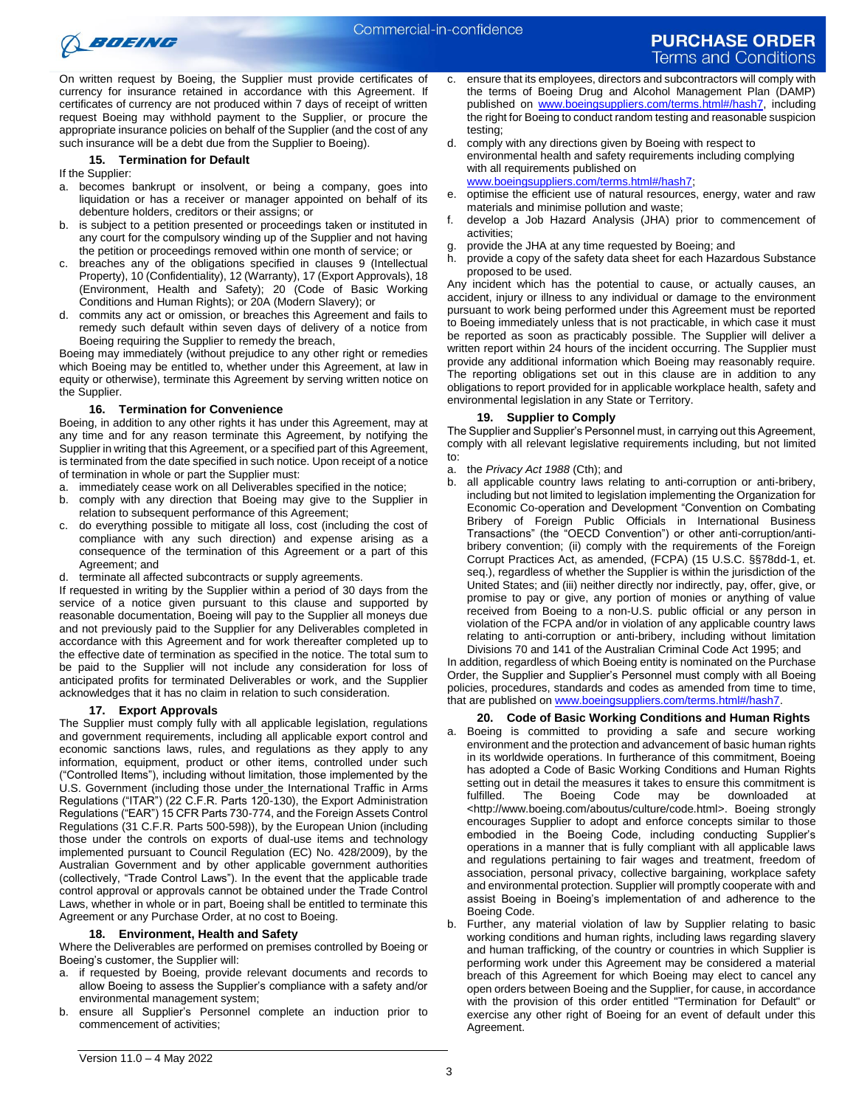

On written request by Boeing, the Supplier must provide certificates of currency for insurance retained in accordance with this Agreement. If certificates of currency are not produced within 7 days of receipt of written request Boeing may withhold payment to the Supplier, or procure the appropriate insurance policies on behalf of the Supplier (and the cost of any such insurance will be a debt due from the Supplier to Boeing).

### **15. Termination for Default**

If the Supplier:

- a. becomes bankrupt or insolvent, or being a company, goes into liquidation or has a receiver or manager appointed on behalf of its debenture holders, creditors or their assigns; or
- b. is subject to a petition presented or proceedings taken or instituted in any court for the compulsory winding up of the Supplier and not having the petition or proceedings removed within one month of service; or
- c. breaches any of the obligations specified in clauses 9 (Intellectual Property), 10 (Confidentiality), 12 (Warranty), 17 (Export Approvals)[, 18](#page-2-0) (Environment, Health and Safety); 20 (Code of Basic Working Conditions and Human Rights); or 20A (Modern Slavery); or
- d. commits any act or omission, or breaches this Agreement and fails to remedy such default within seven days of delivery of a notice from Boeing requiring the Supplier to remedy the breach,

Boeing may immediately (without prejudice to any other right or remedies which Boeing may be entitled to, whether under this Agreement, at law in equity or otherwise), terminate this Agreement by serving written notice on the Supplier.

### **16. Termination for Convenience**

Boeing, in addition to any other rights it has under this Agreement, may at any time and for any reason terminate this Agreement, by notifying the Supplier in writing that this Agreement, or a specified part of this Agreement, is terminated from the date specified in such notice. Upon receipt of a notice of termination in whole or part the Supplier must:

- a. immediately cease work on all Deliverables specified in the notice;
- b. comply with any direction that Boeing may give to the Supplier in relation to subsequent performance of this Agreement;
- c. do everything possible to mitigate all loss, cost (including the cost of compliance with any such direction) and expense arising as a consequence of the termination of this Agreement or a part of this Agreement; and
- d. terminate all affected subcontracts or supply agreements.

If requested in writing by the Supplier within a period of 30 days from the service of a notice given pursuant to this clause and supported by reasonable documentation, Boeing will pay to the Supplier all moneys due and not previously paid to the Supplier for any Deliverables completed in accordance with this Agreement and for work thereafter completed up to the effective date of termination as specified in the notice. The total sum to be paid to the Supplier will not include any consideration for loss of anticipated profits for terminated Deliverables or work, and the Supplier acknowledges that it has no claim in relation to such consideration.

### **17. Export Approvals**

The Supplier must comply fully with all applicable legislation, regulations and government requirements, including all applicable export control and economic sanctions laws, rules, and regulations as they apply to any information, equipment, product or other items, controlled under such ("Controlled Items"), including without limitation, those implemented by the U.S. Government (including those under\_the International Traffic in Arms Regulations ("ITAR") (22 C.F.R. Parts 120-130), the Export Administration Regulations ("EAR") 15 CFR Parts 730-774, and the Foreign Assets Control Regulations (31 C.F.R. Parts 500-598)), by the European Union (including those under the controls on exports of dual-use items and technology implemented pursuant to Council Regulation (EC) No. 428/2009), by the Australian Government and by other applicable government authorities (collectively, "Trade Control Laws"). In the event that the applicable trade control approval or approvals cannot be obtained under the Trade Control Laws, whether in whole or in part, Boeing shall be entitled to terminate this Agreement or any Purchase Order, at no cost to Boeing.

### <span id="page-2-0"></span>**18. Environment, Health and Safety**

Where the Deliverables are performed on premises controlled by Boeing or Boeing's customer, the Supplier will:

- if requested by Boeing, provide relevant documents and records to allow Boeing to assess the Supplier's compliance with a safety and/or environmental management system;
- b. ensure all Supplier's Personnel complete an induction prior to commencement of activities;
- c. ensure that its employees, directors and subcontractors will comply with the terms of Boeing Drug and Alcohol Management Plan (DAMP) published on [www.boeingsuppliers.com/terms.html#/hash7,](http://www.boeingsuppliers.com/terms.html#/hash7) including the right for Boeing to conduct random testing and reasonable suspicion testing;
- d. comply with any directions given by Boeing with respect to environmental health and safety requirements including complying with all requirements published on [www.boeingsuppliers.com/terms.html#/hash7;](http://www.boeingsuppliers.com/terms.html#/hash7)
- e. optimise the efficient use of natural resources, energy, water and raw materials and minimise pollution and waste;
- develop a Job Hazard Analysis (JHA) prior to commencement of activities;
- g. provide the JHA at any time requested by Boeing; and
- h. provide a copy of the safety data sheet for each Hazardous Substance proposed to be used.

Any incident which has the potential to cause, or actually causes, an accident, injury or illness to any individual or damage to the environment pursuant to work being performed under this Agreement must be reported to Boeing immediately unless that is not practicable, in which case it must be reported as soon as practicably possible. The Supplier will deliver a written report within 24 hours of the incident occurring. The Supplier must provide any additional information which Boeing may reasonably require. The reporting obligations set out in this clause are in addition to any obligations to report provided for in applicable workplace health, safety and environmental legislation in any State or Territory.

### **19. Supplier to Comply**

The Supplier and Supplier's Personnel must, in carrying out this Agreement, comply with all relevant legislative requirements including, but not limited to:

- a. the *Privacy Act 1988* (Cth); and
- b. all applicable country laws relating to anti-corruption or anti-bribery, including but not limited to legislation implementing the Organization for Economic Co-operation and Development "Convention on Combating Bribery of Foreign Public Officials in International Business Transactions" (the "OECD Convention") or other anti-corruption/antibribery convention; (ii) comply with the requirements of the Foreign Corrupt Practices Act, as amended, (FCPA) (15 U.S.C. §§78dd-1, et. seq.), regardless of whether the Supplier is within the jurisdiction of the United States; and (iii) neither directly nor indirectly, pay, offer, give, or promise to pay or give, any portion of monies or anything of value received from Boeing to a non-U.S. public official or any person in violation of the FCPA and/or in violation of any applicable country laws relating to anti-corruption or anti-bribery, including without limitation Divisions 70 and 141 of the Australian Criminal Code Act 1995; and

In addition, regardless of which Boeing entity is nominated on the Purchase Order, the Supplier and Supplier's Personnel must comply with all Boeing policies, procedures, standards and codes as amended from time to time, that are published on [www.boeingsuppliers.com/terms.html#/hash7.](http://www.boeingsuppliers.com/terms.html#/hash7)

- **20. Code of Basic Working Conditions and Human Rights** a. Boeing is committed to providing a safe and secure working environment and the protection and advancement of basic human rights in its worldwide operations. In furtherance of this commitment, Boeing has adopted a Code of Basic Working Conditions and Human Rights setting out in detail the measures it takes to ensure this commitment is<br>fulfilled. The Boeing Code may be downloaded at fulfilled. The Boeing Code may be downloaded <http://www.boeing.com/aboutus/culture/code.html>. Boeing strongly encourages Supplier to adopt and enforce concepts similar to those embodied in the Boeing Code, including conducting Supplier's operations in a manner that is fully compliant with all applicable laws and regulations pertaining to fair wages and treatment, freedom of association, personal privacy, collective bargaining, workplace safety and environmental protection. Supplier will promptly cooperate with and assist Boeing in Boeing's implementation of and adherence to the Boeing Code.
- b. Further, any material violation of law by Supplier relating to basic working conditions and human rights, including laws regarding slavery and human trafficking, of the country or countries in which Supplier is performing work under this Agreement may be considered a material breach of this Agreement for which Boeing may elect to cancel any open orders between Boeing and the Supplier, for cause, in accordance with the provision of this order entitled "Termination for Default" or exercise any other right of Boeing for an event of default under this Agreement.